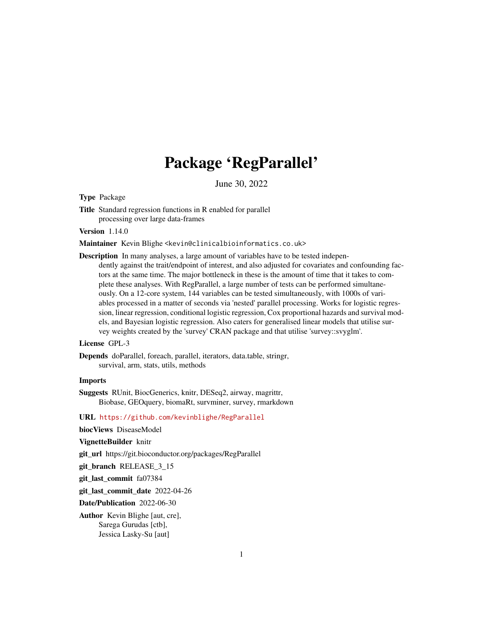# Package 'RegParallel'

June 30, 2022

<span id="page-0-0"></span>Type Package

Title Standard regression functions in R enabled for parallel processing over large data-frames

Version 1.14.0

Maintainer Kevin Blighe <kevin@clinicalbioinformatics.co.uk>

Description In many analyses, a large amount of variables have to be tested independently against the trait/endpoint of interest, and also adjusted for covariates and confounding factors at the same time. The major bottleneck in these is the amount of time that it takes to complete these analyses. With RegParallel, a large number of tests can be performed simultaneously. On a 12-core system, 144 variables can be tested simultaneously, with 1000s of variables processed in a matter of seconds via 'nested' parallel processing. Works for logistic regression, linear regression, conditional logistic regression, Cox proportional hazards and survival models, and Bayesian logistic regression. Also caters for generalised linear models that utilise survey weights created by the 'survey' CRAN package and that utilise 'survey::svyglm'.

# License GPL-3

Depends doParallel, foreach, parallel, iterators, data.table, stringr, survival, arm, stats, utils, methods

#### Imports

Suggests RUnit, BiocGenerics, knitr, DESeq2, airway, magrittr, Biobase, GEOquery, biomaRt, survminer, survey, rmarkdown

URL <https://github.com/kevinblighe/RegParallel>

biocViews DiseaseModel

VignetteBuilder knitr

git\_url https://git.bioconductor.org/packages/RegParallel

git branch RELEASE 3 15

git\_last\_commit fa07384

git\_last\_commit\_date 2022-04-26

Date/Publication 2022-06-30

Author Kevin Blighe [aut, cre], Sarega Gurudas [ctb], Jessica Lasky-Su [aut]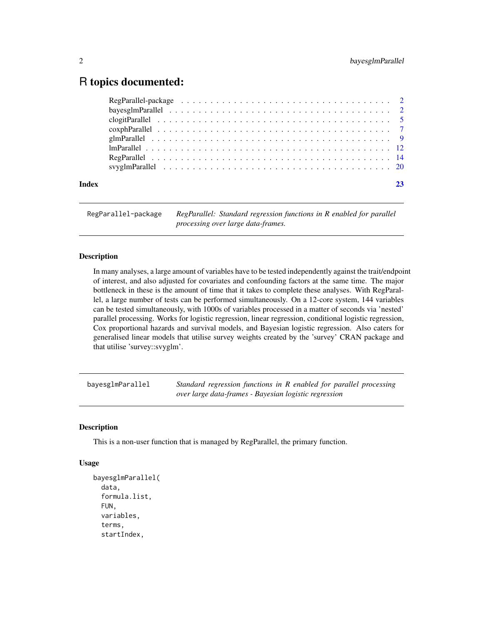# <span id="page-1-0"></span>R topics documented:

| Index |  |
|-------|--|

RegParallel-package *RegParallel: Standard regression functions in R enabled for parallel processing over large data-frames.*

# **Description**

In many analyses, a large amount of variables have to be tested independently against the trait/endpoint of interest, and also adjusted for covariates and confounding factors at the same time. The major bottleneck in these is the amount of time that it takes to complete these analyses. With RegParallel, a large number of tests can be performed simultaneously. On a 12-core system, 144 variables can be tested simultaneously, with 1000s of variables processed in a matter of seconds via 'nested' parallel processing. Works for logistic regression, linear regression, conditional logistic regression, Cox proportional hazards and survival models, and Bayesian logistic regression. Also caters for generalised linear models that utilise survey weights created by the 'survey' CRAN package and that utilise 'survey::svyglm'.

bayesglmParallel *Standard regression functions in R enabled for parallel processing over large data-frames - Bayesian logistic regression*

#### **Description**

This is a non-user function that is managed by RegParallel, the primary function.

#### Usage

```
bayesglmParallel(
  data,
  formula.list,
  FUN,
  variables,
  terms,
  startIndex,
```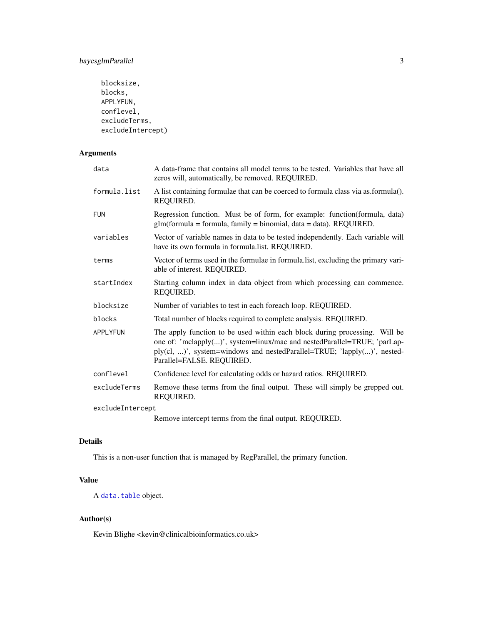# <span id="page-2-0"></span>bayesglmParallel 3

```
blocksize,
blocks,
APPLYFUN,
conflevel,
excludeTerms,
excludeIntercept)
```
# Arguments

| data             | A data-frame that contains all model terms to be tested. Variables that have all<br>zeros will, automatically, be removed. REQUIRED.                                                                                                                           |  |
|------------------|----------------------------------------------------------------------------------------------------------------------------------------------------------------------------------------------------------------------------------------------------------------|--|
| formula.list     | A list containing formulae that can be coerced to formula class via as.formula().<br>REQUIRED.                                                                                                                                                                 |  |
| <b>FUN</b>       | Regression function. Must be of form, for example: function(formula, data)<br>$glm(formula = formula, family = binomial, data = data). REQUIRED.$                                                                                                              |  |
| variables        | Vector of variable names in data to be tested independently. Each variable will<br>have its own formula in formula.list. REQUIRED.                                                                                                                             |  |
| terms            | Vector of terms used in the formulae in formula. list, excluding the primary vari-<br>able of interest. REQUIRED.                                                                                                                                              |  |
| startIndex       | Starting column index in data object from which processing can commence.<br>REQUIRED.                                                                                                                                                                          |  |
| blocksize        | Number of variables to test in each foreach loop. REQUIRED.                                                                                                                                                                                                    |  |
| blocks           | Total number of blocks required to complete analysis. REQUIRED.                                                                                                                                                                                                |  |
| <b>APPLYFUN</b>  | The apply function to be used within each block during processing. Will be<br>one of: 'mclapply()', system=linux/mac and nestedParallel=TRUE; 'parLap-<br>ply(cl, )', system=windows and nestedParallel=TRUE; 'lapply()', nested-<br>Parallel=FALSE. REQUIRED. |  |
| conflevel        | Confidence level for calculating odds or hazard ratios. REQUIRED.                                                                                                                                                                                              |  |
| excludeTerms     | Remove these terms from the final output. These will simply be grepped out.<br>REQUIRED.                                                                                                                                                                       |  |
| excludeIntercept |                                                                                                                                                                                                                                                                |  |
|                  | Remove intercept terms from the final output. REQUIRED.                                                                                                                                                                                                        |  |

# Details

This is a non-user function that is managed by RegParallel, the primary function.

# Value

A [data.table](#page-0-0) object.

# Author(s)

Kevin Blighe <kevin@clinicalbioinformatics.co.uk>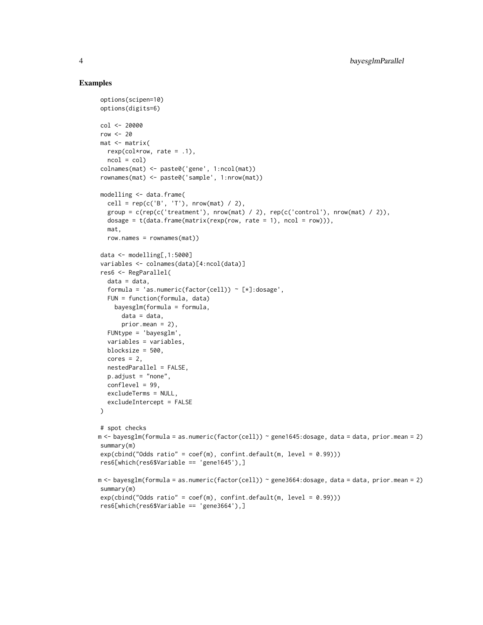```
options(scipen=10)
options(digits=6)
col <- 20000
row <-20mat <- matrix(
  rexp(col*row, rate = .1),ncol = colcolnames(mat) <- paste0('gene', 1:ncol(mat))
rownames(mat) <- paste0('sample', 1:nrow(mat))
modelling <- data.frame(
  cell = rep(c('B', 'T'), nrow(mat) / 2),
  group = c(rep(c('treatment'), nrow(mat) / 2), rep(c('control'), nrow(mat) / 2)),dosage = t(data.fname(matrix(rexp(row, rate = 1), ncol = row))),
  mat,
  row.names = rownames(mat))
data <- modelling[,1:5000]
variables <- colnames(data)[4:ncol(data)]
res6 <- RegParallel(
  data = data,
  formula = 'as.numeric(factor(cell)) \sim [*]:dosage',
  FUN = function(formula, data)
    bayesglm(formula = formula,
      data = data,
      prior.mean = 2),
  FUNtype = 'bayesglm',
  variables = variables,
  blocksize = 500,
  cores = 2,
  nestedParallel = FALSE,
  p.adjust = "none",
  conflevel = 99,
  excludeTerms = NULL,
  excludeIntercept = FALSE
\lambda# spot checks
m <- bayesglm(formula = as.numeric(factor(cell)) ~ gene1645:dosage, data = data, prior.mean = 2)
summary(m)
exp(cbind("Odds ratio" = coef(m), confint.default(m, level = 0.99)))res6[which(res6$Variable == 'gene1645'),]
m <- bayesglm(formula = as.numeric(factor(cell)) ~ gene3664:dosage, data = data, prior.mean = 2)
summary(m)
exp(cbind("Odds ratio" = coef(m), confint.default(m, level = 0.99)))res6[which(res6$Variable == 'gene3664'),]
```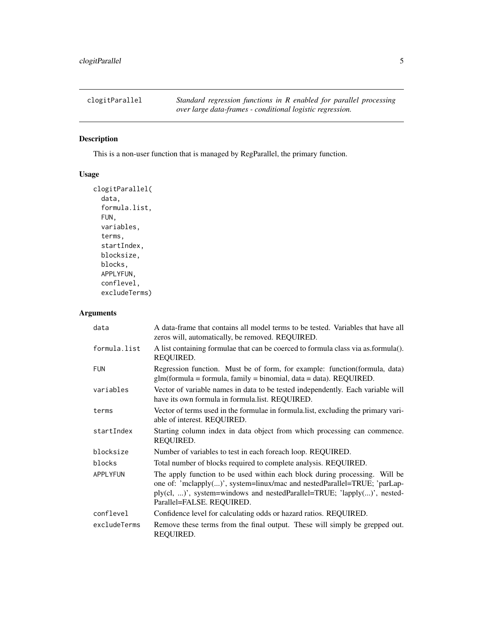<span id="page-4-0"></span>

# Description

This is a non-user function that is managed by RegParallel, the primary function.

# Usage

```
clogitParallel(
  data,
  formula.list,
  FUN,
  variables,
  terms,
  startIndex,
 blocksize,
 blocks,
 APPLYFUN,
  conflevel,
  excludeTerms)
```
# Arguments

| data         | A data-frame that contains all model terms to be tested. Variables that have all<br>zeros will, automatically, be removed. REQUIRED.                                                                                                                           |
|--------------|----------------------------------------------------------------------------------------------------------------------------------------------------------------------------------------------------------------------------------------------------------------|
| formula.list | A list containing formulae that can be coerced to formula class via as.formula().<br>REQUIRED.                                                                                                                                                                 |
| <b>FUN</b>   | Regression function. Must be of form, for example: function(formula, data)<br>$glm(formula = formula, family = binomial, data = data)$ . REQUIRED.                                                                                                             |
| variables    | Vector of variable names in data to be tested independently. Each variable will<br>have its own formula in formula.list. REQUIRED.                                                                                                                             |
| terms        | Vector of terms used in the formulae in formula.list, excluding the primary vari-<br>able of interest. REQUIRED.                                                                                                                                               |
| startIndex   | Starting column index in data object from which processing can commence.<br>REQUIRED.                                                                                                                                                                          |
| blocksize    | Number of variables to test in each foreach loop. REQUIRED.                                                                                                                                                                                                    |
| blocks       | Total number of blocks required to complete analysis. REQUIRED.                                                                                                                                                                                                |
| APPLYFUN     | The apply function to be used within each block during processing. Will be<br>one of: 'mclapply()', system=linux/mac and nestedParallel=TRUE; 'parLap-<br>ply(cl, )', system=windows and nestedParallel=TRUE; 'lapply()', nested-<br>Parallel=FALSE. REQUIRED. |
| conflevel    | Confidence level for calculating odds or hazard ratios. REQUIRED.                                                                                                                                                                                              |
| excludeTerms | Remove these terms from the final output. These will simply be grepped out.<br>REQUIRED.                                                                                                                                                                       |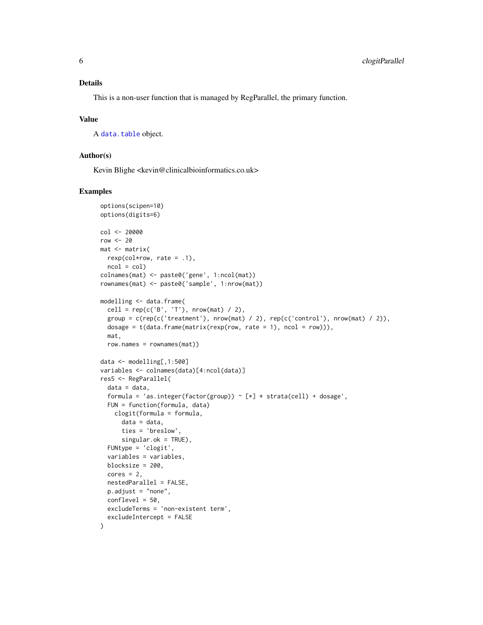### <span id="page-5-0"></span>Details

This is a non-user function that is managed by RegParallel, the primary function.

# Value

A [data.table](#page-0-0) object.

#### Author(s)

Kevin Blighe <kevin@clinicalbioinformatics.co.uk>

```
options(scipen=10)
options(digits=6)
col <- 20000
row <-20mat <- matrix(
 rexp(col*row, rate = .1),ncol = colcolnames(mat) <- paste0('gene', 1:ncol(mat))
rownames(mat) <- paste0('sample', 1:nrow(mat))
modelling <- data.frame(
 cell = rep(c('B', 'T'), nrow(mat) / 2),
 group = c(rep(c('treatment'), nrow(mat) / 2), rep(c('control'), nrow(mat) / 2)),dosage = t(data.fname(matrix(rexp(row, rate = 1), ncol = row))),
 mat,
 row.names = rownames(mat))
data <- modelling[,1:500]
variables <- colnames(data)[4:ncol(data)]
res5 <- RegParallel(
  data = data,
  formula = 'as.integer(factor(group)) \sim [*] * strata(cell) + dosage',
 FUN = function(formula, data)
   clogit(formula = formula,
     data = data,
     ties = 'breslow',
      singular.ok = TRUE),
  FUNtype = 'clogit',
  variables = variables,
 blocksize = 200,
  cores = 2,nestedParallel = FALSE,
  p.adjust = "none",
  conflevel = 50,
  excludeTerms = 'non-existent term',
  excludeIntercept = FALSE
\lambda
```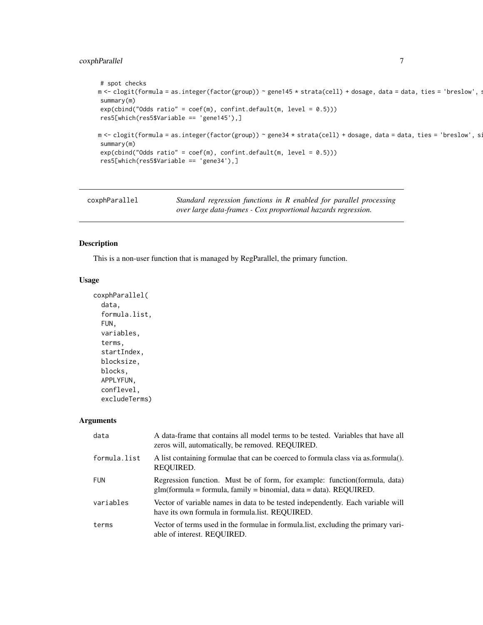# <span id="page-6-0"></span>coxphParallel 7

```
# spot checks
m <- clogit(formula = as.integer(factor(group)) ~ gene145 * strata(cell) + dosage, data = data, ties = 'breslow', :
summary(m)
exp(cbind("Odds ratio" = coef(m), confint.default(m, level = 0.5)))res5[which(res5$Variable == 'gene145'),]
m <- clogit(formula = as.integer(factor(group)) ~ gene34 * strata(cell) + dosage, data = data, ties = 'breslow', s:
summary(m)
exp(cbind("Odds ratio" = coef(m), confint.default(m, level = 0.5)))res5[which(res5$Variable == 'gene34'),]
```

| coxphParallel | Standard regression functions in R enabled for parallel processing |
|---------------|--------------------------------------------------------------------|
|               | over large data-frames - Cox proportional hazards regression.      |

# Description

This is a non-user function that is managed by RegParallel, the primary function.

#### Usage

```
coxphParallel(
  data,
  formula.list,
  FUN,
  variables,
  terms,
  startIndex,
 blocksize,
 blocks,
  APPLYFUN,
  conflevel,
  excludeTerms)
```
#### Arguments

| data         | A data-frame that contains all model terms to be tested. Variables that have all<br>zeros will, automatically, be removed. REQUIRED.                |
|--------------|-----------------------------------------------------------------------------------------------------------------------------------------------------|
| formula.list | A list containing formulae that can be coerced to formula class via as formula().<br>REQUIRED.                                                      |
| <b>FUN</b>   | Regression function. Must be of form, for example: function (formula, data)<br>$glm(formula = formula, family = binomial, data = data)$ . REQUIRED. |
| variables    | Vector of variable names in data to be tested independently. Each variable will<br>have its own formula in formula. list. REQUIRED.                 |
| terms        | Vector of terms used in the formulae in formula.list, excluding the primary vari-<br>able of interest. REQUIRED.                                    |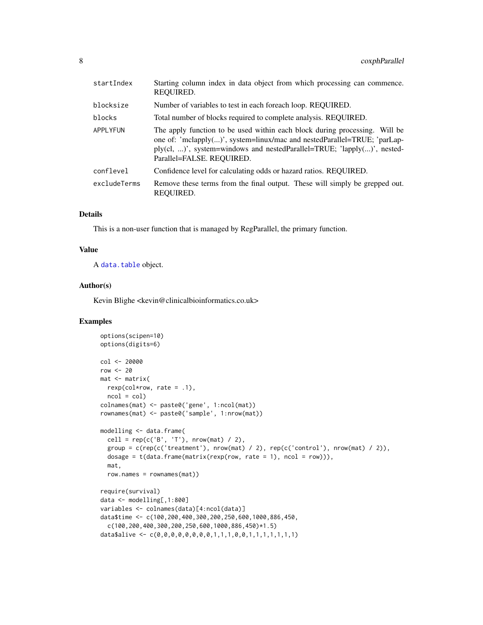<span id="page-7-0"></span>

| startIndex   | Starting column index in data object from which processing can commence.<br>REQUIRED.                                                                                                                                                                          |
|--------------|----------------------------------------------------------------------------------------------------------------------------------------------------------------------------------------------------------------------------------------------------------------|
| blocksize    | Number of variables to test in each foreach loop. REQUIRED.                                                                                                                                                                                                    |
| blocks       | Total number of blocks required to complete analysis. REQUIRED.                                                                                                                                                                                                |
| APPLYFUN     | The apply function to be used within each block during processing. Will be<br>one of: 'mclapply()', system=linux/mac and nestedParallel=TRUE; 'parLap-<br>ply(cl, )', system=windows and nestedParallel=TRUE; 'lapply()', nested-<br>Parallel=FALSE. REQUIRED. |
| conflevel    | Confidence level for calculating odds or hazard ratios. REQUIRED.                                                                                                                                                                                              |
| excludeTerms | Remove these terms from the final output. These will simply be grepped out.<br>REQUIRED.                                                                                                                                                                       |

#### Details

This is a non-user function that is managed by RegParallel, the primary function.

#### Value

A [data.table](#page-0-0) object.

# Author(s)

Kevin Blighe <kevin@clinicalbioinformatics.co.uk>

```
options(scipen=10)
options(digits=6)
col <- 20000
row <-20mat <- matrix(
 rexp(col*row, rate = .1),
 ncol = colcolnames(mat) <- paste0('gene', 1:ncol(mat))
rownames(mat) <- paste0('sample', 1:nrow(mat))
modelling <- data.frame(
  cell = rep(c('B', 'T'), nrow(mat) / 2),
 group = c(rep(c('treatment'), nrow(mat) / 2), rep(c('control'), nrow(mat) / 2)),dosage = t(data.fname(matrix(rexp(row, rate = 1), ncol = row))),
 mat,
 row.names = rownames(mat))
require(survival)
data <- modelling[,1:800]
variables <- colnames(data)[4:ncol(data)]
data$time <- c(100,200,400,300,200,250,600,1000,886,450,
 c(100,200,400,300,200,250,600,1000,886,450)*1.5)
data$alive <- c(0,0,0,0,0,0,0,0,1,1,1,0,0,1,1,1,1,1,1,1)
```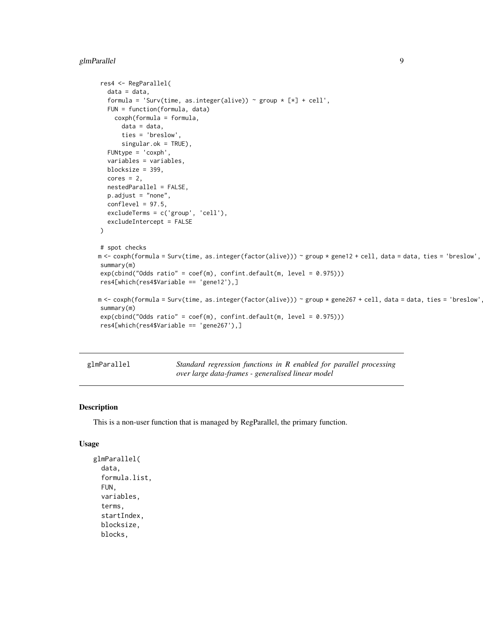# <span id="page-8-0"></span>glmParallel 9

```
res4 <- RegParallel(
  data = data,
  formula = 'Surv(time, as.integer(alive)) ~ group * [*] + cell',
  FUN = function(formula, data)
    coxph(formula = formula,
      data = data,
      ties = 'breslow',
      singular.ok = TRUE),
  FUNtype = 'coxph',
  variables = variables,
  blocksize = 399,
  cores = 2,nestedParallel = FALSE,
  p.adjust = "none",
  conflevel = 97.5,
  excludeTerms = c('group', 'cell'),
  excludeIntercept = FALSE
)
# spot checks
m <- coxph(formula = Surv(time, as.integer(factor(alive))) ~ group * gene12 + cell, data = data, ties = 'breslow',
summary(m)
exp(cbind("Odds ratio" = coef(m), confint.default(m, level = 0.975)))
res4[which(res4$Variable == 'gene12'),]
m <- coxph(formula = Surv(time, as.integer(factor(alive))) ~ group * gene267 + cell, data = data, ties = 'breslow'
summary(m)
exp(cbind("Odds ratio" = coef(m), confint.default(m, level = 0.975)))res4[which(res4$Variable == 'gene267'),]
```
glmParallel *Standard regression functions in R enabled for parallel processing over large data-frames - generalised linear model*

#### Description

This is a non-user function that is managed by RegParallel, the primary function.

#### Usage

```
glmParallel(
  data,
  formula.list,
  FUN,
  variables,
  terms,
  startIndex,
  blocksize,
  blocks,
```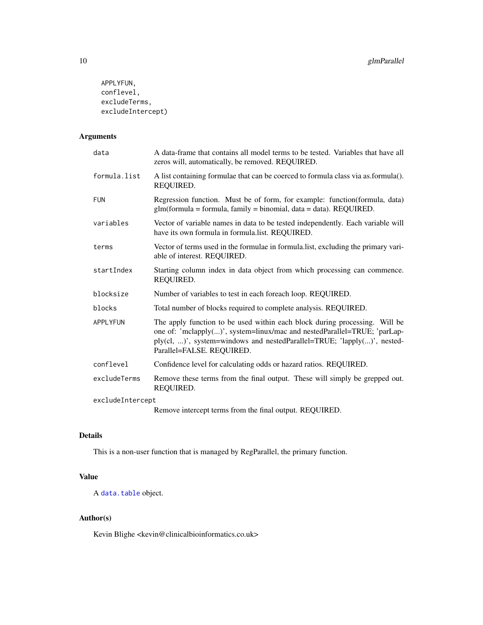```
APPLYFUN,
conflevel,
excludeTerms,
excludeIntercept)
```
# Arguments

| data             | A data-frame that contains all model terms to be tested. Variables that have all<br>zeros will, automatically, be removed. REQUIRED.                                                                                                                           |  |
|------------------|----------------------------------------------------------------------------------------------------------------------------------------------------------------------------------------------------------------------------------------------------------------|--|
| formula.list     | A list containing formulae that can be coerced to formula class via as formula().<br>REQUIRED.                                                                                                                                                                 |  |
| <b>FUN</b>       | Regression function. Must be of form, for example: function(formula, data)<br>glm(formula = formula, family = binomial, data = data). REQUIRED.                                                                                                                |  |
| variables        | Vector of variable names in data to be tested independently. Each variable will<br>have its own formula in formula.list. REQUIRED.                                                                                                                             |  |
| terms            | Vector of terms used in the formulae in formula.list, excluding the primary vari-<br>able of interest. REQUIRED.                                                                                                                                               |  |
| startIndex       | Starting column index in data object from which processing can commence.<br>REQUIRED.                                                                                                                                                                          |  |
| blocksize        | Number of variables to test in each foreach loop. REQUIRED.                                                                                                                                                                                                    |  |
| blocks           | Total number of blocks required to complete analysis. REQUIRED.                                                                                                                                                                                                |  |
| APPLYFUN         | The apply function to be used within each block during processing. Will be<br>one of: 'mclapply()', system=linux/mac and nestedParallel=TRUE; 'parLap-<br>ply(cl, )', system=windows and nestedParallel=TRUE; 'lapply()', nested-<br>Parallel=FALSE. REQUIRED. |  |
| conflevel        | Confidence level for calculating odds or hazard ratios. REQUIRED.                                                                                                                                                                                              |  |
| excludeTerms     | Remove these terms from the final output. These will simply be grepped out.<br>REQUIRED.                                                                                                                                                                       |  |
| excludeIntercept |                                                                                                                                                                                                                                                                |  |
|                  | Remove intercept terms from the final output. REQUIRED.                                                                                                                                                                                                        |  |

# Details

This is a non-user function that is managed by RegParallel, the primary function.

# Value

A [data.table](#page-0-0) object.

# Author(s)

Kevin Blighe <kevin@clinicalbioinformatics.co.uk>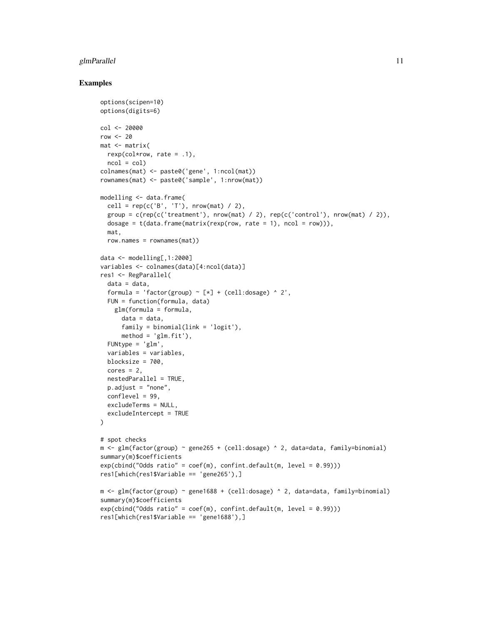#### glmParallel the contract of the contract of the contract of the contract of the contract of the contract of the contract of the contract of the contract of the contract of the contract of the contract of the contract of th

```
options(scipen=10)
options(digits=6)
col < -20000row <-20mat <- matrix(
 rexp(col*row, rate = .1),ncol = colcolnames(mat) <- paste0('gene', 1:ncol(mat))
rownames(mat) <- paste0('sample', 1:nrow(mat))
modelling <- data.frame(
 cell = rep(c('B', 'T')), nrow(mat) / 2),
 group = c(rep(c('treatment'), nrow(mat) / 2), rep(c('control'), nrow(mat) / 2)).dosage = t(data.fname(matrix(rexp(row, rate = 1), ncol = row)),
 mat,
 row.names = rownames(mat))
data <- modelling[,1:2000]
variables <- colnames(data)[4:ncol(data)]
res1 <- RegParallel(
 data = data,
  formula = 'factor(group) \sim [*] + (cell:dosage) \land 2',
 FUN = function(formula, data)
    glm(formula = formula,
      data = data,
     family = binomial(link = 'logit').method = 'glm.fit'),
  FUNtype = 'glm',
  variables = variables,
 blocksize = 700,
  cores = 2,
  nestedParallel = TRUE,
 p.adjust = "none",
  conflevel = 99,
  excludeTerms = NULL,
  excludeIntercept = TRUE
)
# spot checks
m \leftarrow glm(factor(group) \sim gene265 + (cell:dosage) \sim 2, data=data, family=binomial)summary(m)$coefficients
exp(cbind("Odds ratio" = coef(m), confint.default(m, level = 0.99)))
res1[which(res1$Variable == 'gene265'),]
m <- glm(factor(group) ~ gene1688 + (cell:dosage) ^ 2, data=data, family=binomial)
summary(m)$coefficients
exp(cbind("Odds ratio" = coef(m), confint.default(m, level = 0.99)))res1[which(res1$Variable == 'gene1688'),]
```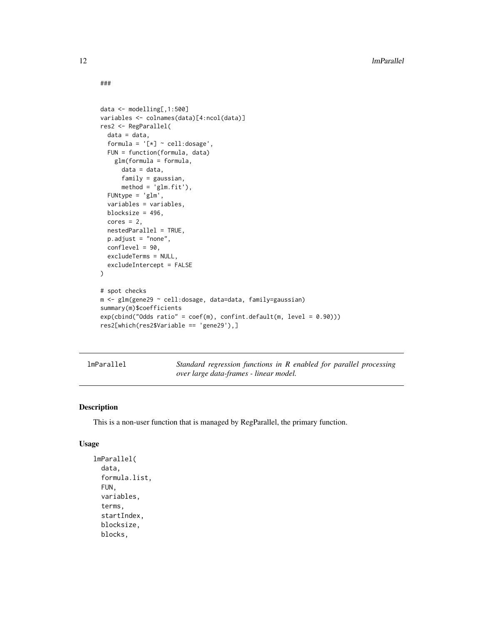```
###
```

```
data <- modelling[,1:500]
variables <- colnames(data)[4:ncol(data)]
res2 <- RegParallel(
 data = data,
  formula = '[*) \sim \text{cell:dosage}',FUN = function(formula, data)
    glm(formula = formula,
      data = data,
      family = gaussian,
      method = 'glm.fit'),FUNtype = 'glm',
  variables = variables,
  blocksize = 496,
  cores = 2,nestedParallel = TRUE,
 p.adjust = "none",
  conflevel = 90,
  excludeTerms = NULL,
  excludeIntercept = FALSE
\lambda# spot checks
m <- glm(gene29 ~ cell:dosage, data=data, family=gaussian)
summary(m)$coefficients
exp(cbind("Odds ratio" = coef(m), confint.default(m, level = 0.90)))res2[which(res2$Variable == 'gene29'),]
```
lmParallel *Standard regression functions in R enabled for parallel processing over large data-frames - linear model.*

# Description

This is a non-user function that is managed by RegParallel, the primary function.

#### Usage

```
lmParallel(
  data,
  formula.list,
  FUN,
  variables,
  terms,
  startIndex,
  blocksize,
  blocks,
```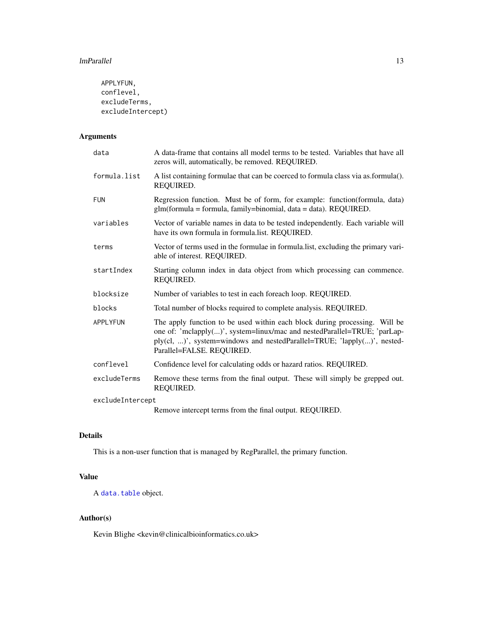```
APPLYFUN,
conflevel,
excludeTerms,
excludeIntercept)
```
# Arguments

| data             | A data-frame that contains all model terms to be tested. Variables that have all<br>zeros will, automatically, be removed. REQUIRED.                                                                                                                           |
|------------------|----------------------------------------------------------------------------------------------------------------------------------------------------------------------------------------------------------------------------------------------------------------|
| formula.list     | A list containing formulae that can be coerced to formula class via as.formula().<br>REQUIRED.                                                                                                                                                                 |
| <b>FUN</b>       | Regression function. Must be of form, for example: function(formula, data)<br>glm(formula = formula, family=binomial, data = data). REQUIRED.                                                                                                                  |
| variables        | Vector of variable names in data to be tested independently. Each variable will<br>have its own formula in formula.list. REQUIRED.                                                                                                                             |
| terms            | Vector of terms used in the formulae in formula. Itst, excluding the primary vari-<br>able of interest. REQUIRED.                                                                                                                                              |
| startIndex       | Starting column index in data object from which processing can commence.<br>REQUIRED.                                                                                                                                                                          |
| blocksize        | Number of variables to test in each foreach loop. REQUIRED.                                                                                                                                                                                                    |
| blocks           | Total number of blocks required to complete analysis. REQUIRED.                                                                                                                                                                                                |
| APPLYFUN         | The apply function to be used within each block during processing. Will be<br>one of: 'mclapply()', system=linux/mac and nestedParallel=TRUE; 'parLap-<br>ply(cl, )', system=windows and nestedParallel=TRUE; 'lapply()', nested-<br>Parallel=FALSE. REQUIRED. |
| conflevel        | Confidence level for calculating odds or hazard ratios. REQUIRED.                                                                                                                                                                                              |
| excludeTerms     | Remove these terms from the final output. These will simply be grepped out.<br>REQUIRED.                                                                                                                                                                       |
| excludeIntercept |                                                                                                                                                                                                                                                                |
|                  | Remove intercept terms from the final output. REQUIRED.                                                                                                                                                                                                        |

# Details

This is a non-user function that is managed by RegParallel, the primary function.

# Value

A [data.table](#page-0-0) object.

# Author(s)

Kevin Blighe <kevin@clinicalbioinformatics.co.uk>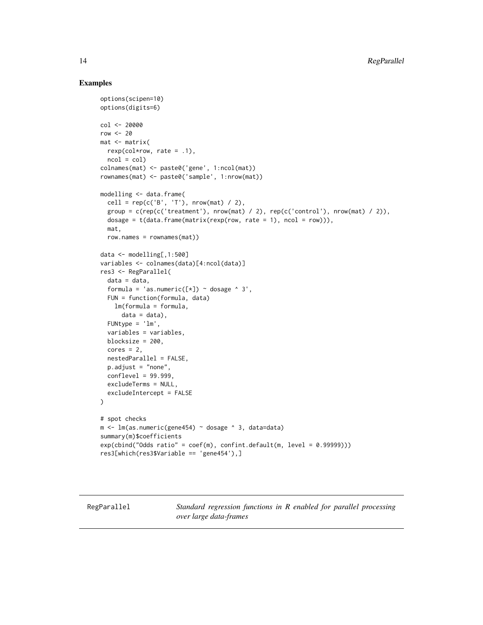#### Examples

```
options(scipen=10)
options(digits=6)
col <- 20000
row <-20mat <- matrix(
 rexp(col*row, rate = .1),
 ncol = colcolnames(mat) <- paste0('gene', 1:ncol(mat))
rownames(mat) <- paste0('sample', 1:nrow(mat))
modelling <- data.frame(
 cell = rep(c('B', 'T'), nrow(mat) / 2),
 group = c(rep(c('treatment'), nrow(mat) / 2), rep(c('control'), nrow(mat) / 2)),dosage = t(data.fname(matrix(rexp(row, rate = 1), ncol = row)),
 mat,
 row.names = rownames(mat))
data <- modelling[,1:500]
variables <- colnames(data)[4:ncol(data)]
res3 <- RegParallel(
  data = data,
  formula = 'as.numeric([\star]) ~ dosage ^ 3',
 FUN = function(formula, data)
   lm(formula = formula,
     data = data),
 FUNtype = 'lm',
  variables = variables,
 blocksize = 200,
  cores = 2,nestedParallel = FALSE,
 p.adjust = "none",
 conflevel = 99.999,
 excludeTerms = NULL,
  excludeIntercept = FALSE
\lambda# spot checks
m \leq 1m(as.numeric(gene454) ~ dosage ^ 3, data=data)
summary(m)$coefficients
exp(cbind("Odds ratio" = coef(m), confint.default(m, level = 0.99999)))res3[which(res3$Variable == 'gene454'),]
```
RegParallel *Standard regression functions in R enabled for parallel processing over large data-frames*

<span id="page-13-0"></span>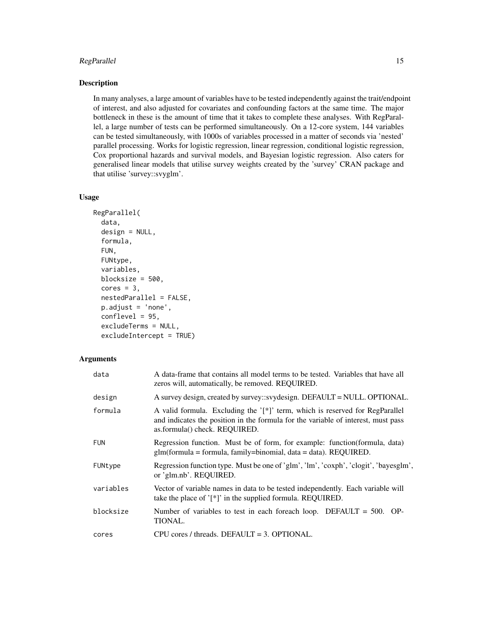# RegParallel 15

# Description

In many analyses, a large amount of variables have to be tested independently against the trait/endpoint of interest, and also adjusted for covariates and confounding factors at the same time. The major bottleneck in these is the amount of time that it takes to complete these analyses. With RegParallel, a large number of tests can be performed simultaneously. On a 12-core system, 144 variables can be tested simultaneously, with 1000s of variables processed in a matter of seconds via 'nested' parallel processing. Works for logistic regression, linear regression, conditional logistic regression, Cox proportional hazards and survival models, and Bayesian logistic regression. Also caters for generalised linear models that utilise survey weights created by the 'survey' CRAN package and that utilise 'survey::svyglm'.

#### Usage

```
RegParallel(
  data,
  design = NULL,
  formula,
  FUN,
  FUNtype,
  variables,
 blocksize = 500,
  cores = 3,nestedParallel = FALSE,
  p.adjust = 'none',
  conflevel = 95,
  excludeTerms = NULL,
  excludeIntercept = TRUE)
```
#### **Arguments**

| data       | A data-frame that contains all model terms to be tested. Variables that have all<br>zeros will, automatically, be removed. REQUIRED.                                                               |
|------------|----------------------------------------------------------------------------------------------------------------------------------------------------------------------------------------------------|
| design     | A survey design, created by survey::svydesign. DEFAULT = NULL. OPTIONAL.                                                                                                                           |
| formula    | A valid formula. Excluding the '[*]' term, which is reserved for RegParallel<br>and indicates the position in the formula for the variable of interest, must pass<br>as.formula() check. REQUIRED. |
| <b>FUN</b> | Regression function. Must be of form, for example: function (formula, data)<br>$glm(formula = formula, family = binomial, data = data)$ . REQUIRED.                                                |
| FUNtype    | Regression function type. Must be one of 'glm', 'lm', 'coxph', 'clogit', 'bayesglm',<br>or 'glm.nb'. REQUIRED.                                                                                     |
| variables  | Vector of variable names in data to be tested independently. Each variable will<br>take the place of $'[*]'$ in the supplied formula. REQUIRED.                                                    |
| blocksize  | Number of variables to test in each foreach loop. DEFAULT = $500$ . OP-<br>TIONAL.                                                                                                                 |
| cores      | $CPU \text{ cores } / \text{threads}$ . DEFAULT = 3. OPTIONAL.                                                                                                                                     |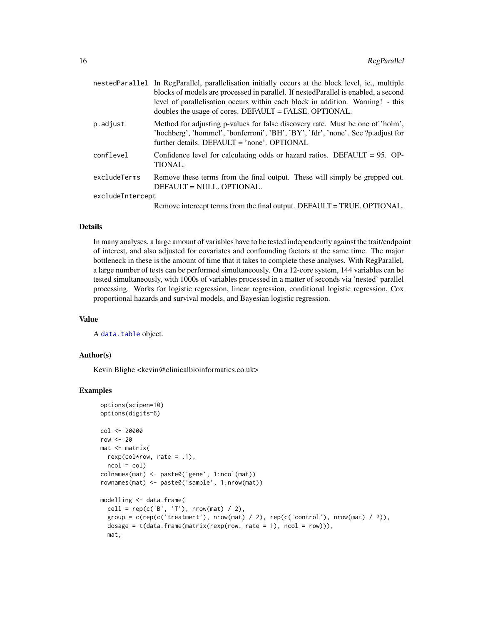<span id="page-15-0"></span>

|                  | nestedParallel In RegParallel, parallelisation initially occurs at the block level, ie., multiple<br>blocks of models are processed in parallel. If nestedParallel is enabled, a second<br>level of parallelisation occurs within each block in addition. Warning! - this<br>doubles the usage of cores. DEFAULT = FALSE. OPTIONAL. |  |
|------------------|-------------------------------------------------------------------------------------------------------------------------------------------------------------------------------------------------------------------------------------------------------------------------------------------------------------------------------------|--|
| p.adjust         | Method for adjusting p-values for false discovery rate. Must be one of 'holm',<br>'hochberg', 'hommel', 'bonferroni', 'BH', 'BY', 'fdr', 'none'. See ?p.adjust for<br>further details. DEFAULT = 'none'. OPTIONAL                                                                                                                   |  |
| conflevel        | Confidence level for calculating odds or hazard ratios. DEFAULT = $95.$ OP-<br>TIONAL.                                                                                                                                                                                                                                              |  |
| excludeTerms     | Remove these terms from the final output. These will simply be grepped out.<br>DEFAULT = NULL. OPTIONAL.                                                                                                                                                                                                                            |  |
| excludeIntercept |                                                                                                                                                                                                                                                                                                                                     |  |
|                  | Remove intercept terms from the final output. DEFAULT = TRUE. OPTIONAL.                                                                                                                                                                                                                                                             |  |

#### Details

In many analyses, a large amount of variables have to be tested independently against the trait/endpoint of interest, and also adjusted for covariates and confounding factors at the same time. The major bottleneck in these is the amount of time that it takes to complete these analyses. With RegParallel, a large number of tests can be performed simultaneously. On a 12-core system, 144 variables can be tested simultaneously, with 1000s of variables processed in a matter of seconds via 'nested' parallel processing. Works for logistic regression, linear regression, conditional logistic regression, Cox proportional hazards and survival models, and Bayesian logistic regression.

#### Value

A [data.table](#page-0-0) object.

#### Author(s)

Kevin Blighe <kevin@clinicalbioinformatics.co.uk>

```
options(scipen=10)
options(digits=6)
col <- 20000
row <-20mat <- matrix(
 rexp(col*row, rate = .1),
 ncol = colcolnames(mat) <- paste0('gene', 1:ncol(mat))
rownames(mat) <- paste0('sample', 1:nrow(mat))
modelling <- data.frame(
  cell = rep(c('B', 'T'), nrow(mat) / 2),
  group = c(rep(c('treatment'), nrow(mat) / 2), rep(c('control'), nrow(mat) / 2)),dosage = t(data.fname(matrix(rexp(row, rate = 1), ncol = row))),
  mat,
```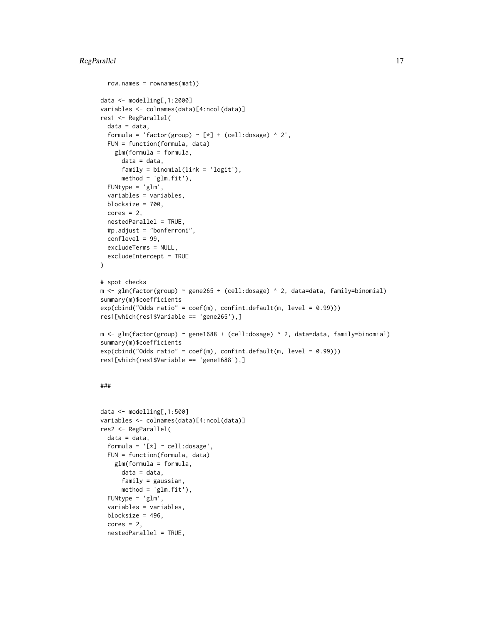# RegParallel 17

row.names = rownames(mat))

```
data <- modelling[,1:2000]
variables <- colnames(data)[4:ncol(data)]
res1 <- RegParallel(
 data = data,
  formula = 'factor(group) \sim [*] + (cell:dosage) \land 2',
  FUN = function(formula, data)
    glm(formula = formula,
     data = data,
     family = binomial(link = 'logit'),
     method = 'glm.fit'),
  FUNtype = 'glm',
  variables = variables,
  blocksize = 700,
  cores = 2,nestedParallel = TRUE,
  #p.adjust = "bonferroni",
 conflevel = 99,
  excludeTerms = NULL,
 excludeIntercept = TRUE
\lambda# spot checks
m <- glm(factor(group) ~ gene265 + (cell:dosage) ^ 2, data=data, family=binomial)
summary(m)$coefficients
exp(cbind("Odds ratio" = coef(m), confint.default(m, level = 0.99)))res1[which(res1$Variable == 'gene265'),]
m <- glm(factor(group) ~ gene1688 + (cell:dosage) ^ 2, data=data, family=binomial)
summary(m)$coefficients
exp(cbind("Odds ratio" = coef(m), confint.default(m, level = 0.99)))res1[which(res1$Variable == 'gene1688'),]
###
```

```
data <- modelling[,1:500]
variables <- colnames(data)[4:ncol(data)]
res2 <- RegParallel(
  data = data,
  formula = '[*) \sim cell: dosage',
 FUN = function(formula, data)
    glm(formula = formula,
      data = data,
      family = gaussian,
      method = 'glm.fit'),FUNtype = 'glm',
  variables = variables,
  blocksize = 496,
  cores = 2,nestedParallel = TRUE,
```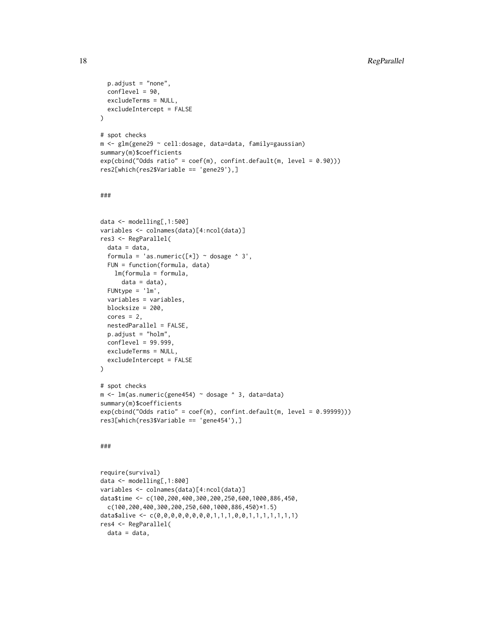```
p.adjust = "none",
  conflevel = 90,
  excludeTerms = NULL,
 excludeIntercept = FALSE
\lambda# spot checks
m <- glm(gene29 ~ cell:dosage, data=data, family=gaussian)
summary(m)$coefficients
exp(cbind("Odds ratio" = coef(m), confint.default(m, level = 0.90)))
res2[which(res2$Variable == 'gene29'),]
###
data <- modelling[,1:500]
variables <- colnames(data)[4:ncol(data)]
res3 <- RegParallel(
  data = data,
  formula = 'as.numeric([\star]) ~ dosage ^ 3',
 FUN = function(formula, data)
   lm(formula = formula,
      data = data),
 FUNtype = 'lm',
  variables = variables,
  blocksize = 200,
  cores = 2,nestedParallel = FALSE,
 p.adjust = "holm",
 conflevel = 99.999,
 excludeTerms = NULL,
  excludeIntercept = FALSE
)
# spot checks
m <- lm(as.numeric(gene454) ~ dosage ^ 3, data=data)
summary(m)$coefficients
exp(cbind("Odds ratio" = coef(m), confint.default(m, level = 0.99999)))
```
#### ###

```
require(survival)
data <- modelling[,1:800]
variables <- colnames(data)[4:ncol(data)]
data$time <- c(100,200,400,300,200,250,600,1000,886,450,
 c(100,200,400,300,200,250,600,1000,886,450)*1.5)
data$alive <- c(0,0,0,0,0,0,0,0,1,1,1,0,0,1,1,1,1,1,1,1)
res4 <- RegParallel(
 data = data,
```
res3[which(res3\$Variable == 'gene454'),]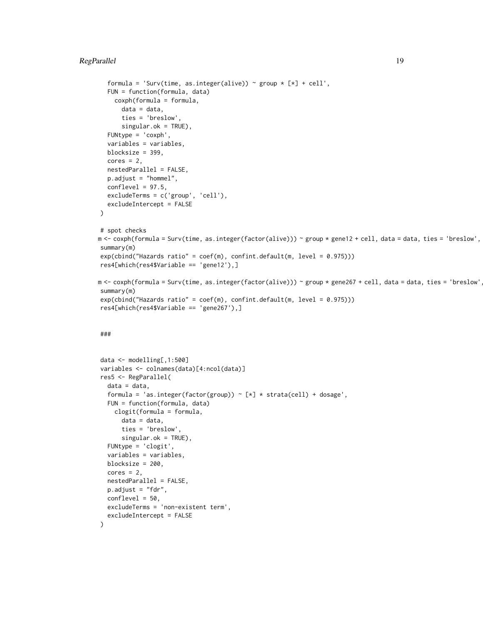# RegParallel 19

```
formula = 'Surv(time, as.integer(alive)) \sim group \star [\star] + cell',
  FUN = function(formula, data)
    coxph(formula = formula,
      data = data,
      ties = 'breslow',
      singular.ok = TRUE),
  FUNtype = 'coxph',
  variables = variables,
  blocksize = 399,
  cores = 2,nestedParallel = FALSE,
  p.adjust = "hommel",
  conflevel = 97.5,
  excludeTerms = c('group', 'cell'),
  excludeIntercept = FALSE
)
# spot checks
m <- coxph(formula = Surv(time, as.integer(factor(alive))) ~ group * gene12 + cell, data = data, ties = 'breslow',
summary(m)
exp(cbind("Hazards ratio" = coef(m), confint.default(m, level = 0.975)))
res4[which(res4$Variable == 'gene12'),]
m <- coxph(formula = Surv(time, as.integer(factor(alive))) ~ group * gene267 + cell, data = data, ties = 'breslow'
summary(m)
exp(cbind("Hazards ratio" = coef(m), confint.default(m, level = 0.975)))
res4[which(res4$Variable == 'gene267'),]
###
data <- modelling[,1:500]
variables <- colnames(data)[4:ncol(data)]
res5 <- RegParallel(
  data = data,
  formula = 'as.integer(factor(group)) \sim [*] * strata(cell) + dosage',
  FUN = function(formula, data)
    clogit(formula = formula,
      data = data,
      ties = 'breslow',
      singular.ok = TRUE),
  FUNtype = 'clogit',
  variables = variables,
  blocksize = 200,
```
)

 $cores = 2,$ 

nestedParallel = FALSE, p.adjust = "fdr", conflevel = 50,

excludeIntercept = FALSE

excludeTerms = 'non-existent term',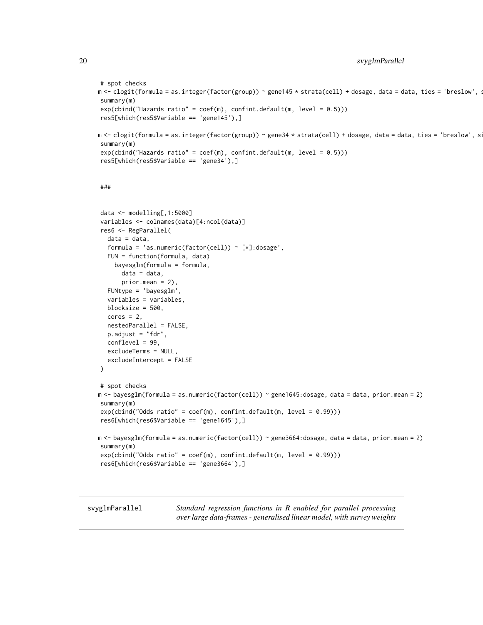```
# spot checks
m <- clogit(formula = as.integer(factor(group)) ~ gene145 * strata(cell) + dosage, data = data, ties = 'breslow', s
summary(m)
exp(cbind("Hazards ratio" = coef(m), confint.default(m, level = 0.5)))res5[which(res5$Variable == 'gene145'),]
m <- clogit(formula = as.integer(factor(group)) ~ gene34 * strata(cell) + dosage, data = data, ties = 'breslow', s:
summary(m)
exp(cbind("Hazards ratio" = coef(m), confint.default(m, level = 0.5)))res5[which(res5$Variable == 'gene34'),]
###
data <- modelling[,1:5000]
variables <- colnames(data)[4:ncol(data)]
res6 <- RegParallel(
  data = data,formula = 'as.numeric(factor(cell)) \sim [*]:dosage',
  FUN = function(formula, data)
    bayesglm(formula = formula,
      data = data,
      prior.mean = 2),
  FUNtype = 'bayesglm',
  variables = variables,
  blocksize = 500,
  cores = 2,nestedParallel = FALSE,
  p.adjust = "fdr",
  conflevel = 99,
  excludeTerms = NULL,
  excludeIntercept = FALSE
)
# spot checks
m <- bayesglm(formula = as.numeric(factor(cell)) ~ gene1645:dosage, data = data, prior.mean = 2)
summary(m)
exp(cbind("Odds ratio" = coef(m), confint.default(m, level = 0.99)))res6[which(res6$Variable == 'gene1645'),]
m <- bayesglm(formula = as.numeric(factor(cell)) ~ gene3664:dosage, data = data, prior.mean = 2)
summary(m)
exp(cbind("Odds ratio" = coef(m), confint.default(m, level = 0.99)))
res6[which(res6$Variable == 'gene3664'),]
```
svyglmParallel *Standard regression functions in R enabled for parallel processing over large data-frames - generalised linear model, with survey weights*

<span id="page-19-0"></span>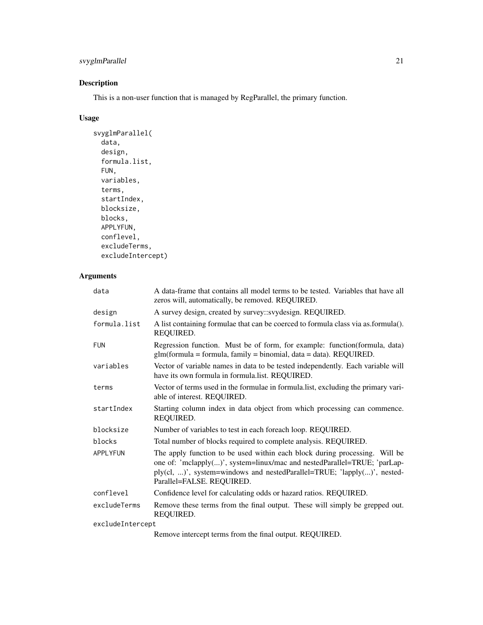# svyglmParallel 21

# Description

This is a non-user function that is managed by RegParallel, the primary function.

# Usage

```
svyglmParallel(
  data,
  design,
  formula.list,
  FUN,
  variables,
  terms,
  startIndex,
  blocksize,
  blocks,
  APPLYFUN,
  conflevel,
  excludeTerms,
  excludeIntercept)
```
# Arguments

| data             | A data-frame that contains all model terms to be tested. Variables that have all<br>zeros will, automatically, be removed. REQUIRED.                                                                                                                           |  |
|------------------|----------------------------------------------------------------------------------------------------------------------------------------------------------------------------------------------------------------------------------------------------------------|--|
| design           | A survey design, created by survey::svydesign. REQUIRED.                                                                                                                                                                                                       |  |
| formula.list     | A list containing formulae that can be coerced to formula class via as.formula().<br>REQUIRED.                                                                                                                                                                 |  |
| FUN              | Regression function. Must be of form, for example: function (formula, data)<br>$glm(formula = formula, family = binomial, data = data). REQUIRED.$                                                                                                             |  |
| variables        | Vector of variable names in data to be tested independently. Each variable will<br>have its own formula in formula.list. REQUIRED.                                                                                                                             |  |
| terms            | Vector of terms used in the formulae in formula. list, excluding the primary vari-<br>able of interest. REQUIRED.                                                                                                                                              |  |
| startIndex       | Starting column index in data object from which processing can commence.<br>REQUIRED.                                                                                                                                                                          |  |
| blocksize        | Number of variables to test in each foreach loop. REQUIRED.                                                                                                                                                                                                    |  |
| blocks           | Total number of blocks required to complete analysis. REQUIRED.                                                                                                                                                                                                |  |
| <b>APPLYFUN</b>  | The apply function to be used within each block during processing. Will be<br>one of: 'mclapply()', system=linux/mac and nestedParallel=TRUE; 'parLap-<br>ply(cl, )', system=windows and nestedParallel=TRUE; 'lapply()', nested-<br>Parallel=FALSE. REQUIRED. |  |
| conflevel        | Confidence level for calculating odds or hazard ratios. REQUIRED.                                                                                                                                                                                              |  |
| excludeTerms     | Remove these terms from the final output. These will simply be grepped out.<br>REQUIRED.                                                                                                                                                                       |  |
| excludeIntercept |                                                                                                                                                                                                                                                                |  |
|                  | Remove intercept terms from the final output. REQUIRED.                                                                                                                                                                                                        |  |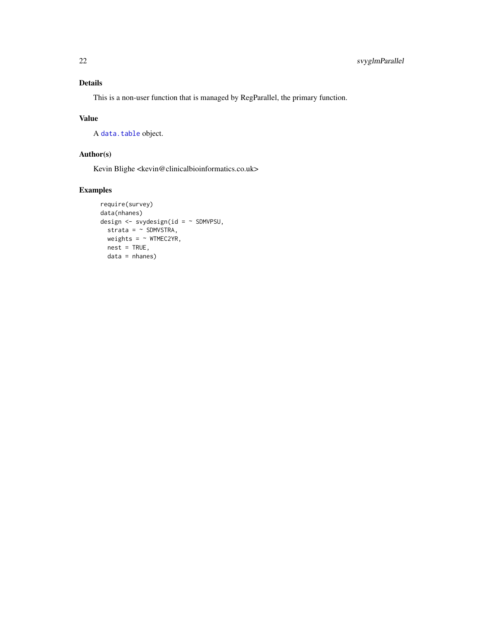# <span id="page-21-0"></span>Details

This is a non-user function that is managed by RegParallel, the primary function.

## Value

A [data.table](#page-0-0) object.

# Author(s)

Kevin Blighe <kevin@clinicalbioinformatics.co.uk>

```
require(survey)
data(nhanes)
design <- svydesign(id = ~ SDMVPSU,
 strata = \sim SDMVSTRA,
 weights = ~ WTIMEC2YR,nest = TRUE,data = nhanes)
```